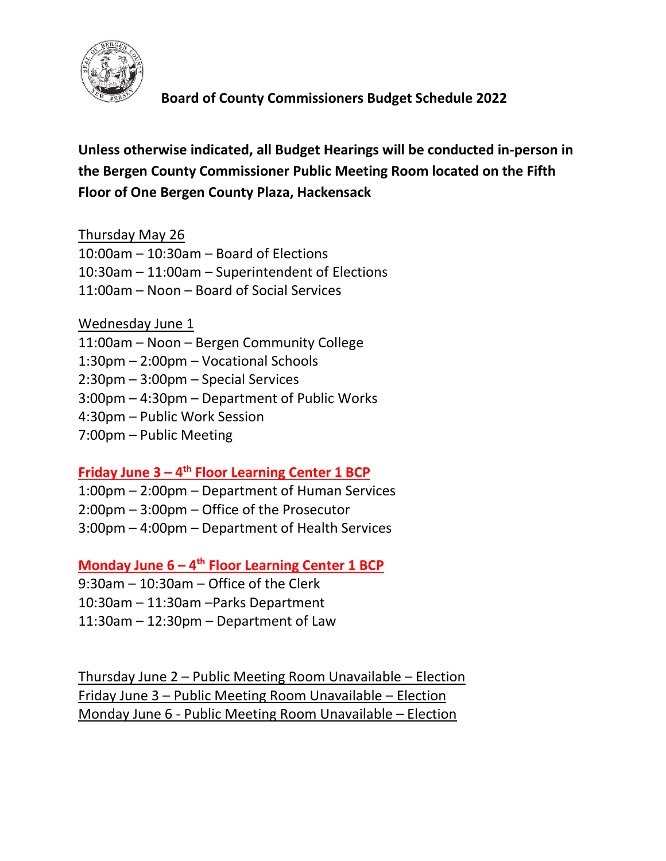

 **Board of County Commissioners Budget Schedule 2022**

**Unless otherwise indicated, all Budget Hearings will be conducted in-person in the Bergen County Commissioner Public Meeting Room located on the Fifth Floor of One Bergen County Plaza, Hackensack**

Thursday May 26

10:00am – 10:30am – Board of Elections

10:30am – 11:00am – Superintendent of Elections

11:00am – Noon – Board of Social Services

Wednesday June 1 11:00am – Noon – Bergen Community College 1:30pm – 2:00pm – Vocational Schools 2:30pm – 3:00pm – Special Services 3:00pm – 4:30pm – Department of Public Works 4:30pm – Public Work Session 7:00pm – Public Meeting

**Friday June 3 – 4 th Floor Learning Center 1 BCP**

1:00pm – 2:00pm – Department of Human Services

2:00pm – 3:00pm – Office of the Prosecutor

3:00pm – 4:00pm – Department of Health Services

**Monday June 6 – 4 th Floor Learning Center 1 BCP**

9:30am – 10:30am – Office of the Clerk

10:30am – 11:30am –Parks Department

11:30am – 12:30pm – Department of Law

Thursday June 2 – Public Meeting Room Unavailable – Election Friday June 3 – Public Meeting Room Unavailable – Election Monday June 6 - Public Meeting Room Unavailable – Election